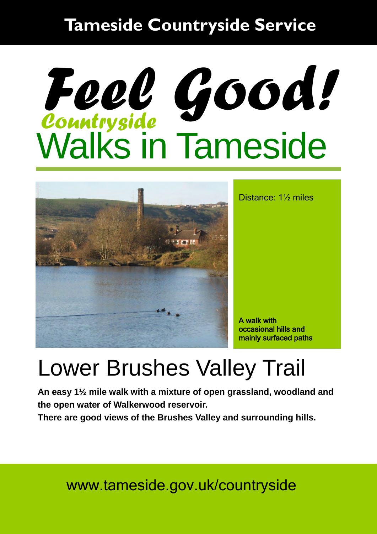#### **Tameside Countryside Service**

# Walks in Tameside *Countryside Feel Good!*



Distance: 1½ miles

A walk with occasional hills and mainly surfaced paths

### Lower Brushes Valley Trail

**An easy 1½ mile walk with a mixture of open grassland, woodland and the open water of Walkerwood reservoir.** 

**There are good views of the Brushes Valley and surrounding hills.** 

www.tameside.gov.uk/countryside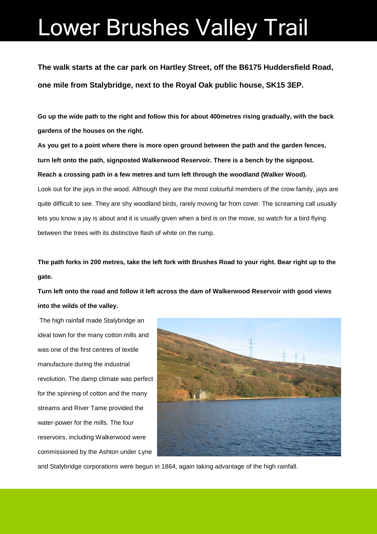### Lower Brushes Valley Trail

**The walk starts at the car park on Hartley Street, off the B6175 Huddersfield Road, one mile from Stalybridge, next to the Royal Oak public house, SK15 3EP.** 

**Go up the wide path to the right and follow this for about 400metres rising gradually, with the back gardens of the houses on the right.** 

**As you get to a point where there is more open ground between the path and the garden fences, turn left onto the path, signposted Walkerwood Reservoir. There is a bench by the signpost. Reach a crossing path in a few metres and turn left through the woodland (Walker Wood).**  Look out for the jays in the wood. Although they are the most colourful members of the crow family, jays are quite difficult to see. They are shy woodland birds, rarely moving far from cover. The screaming call usually lets you know a jay is about and it is usually given when a bird is on the move, so watch for a bird flying between the trees with its distinctive flash of white on the rump.

**The path forks in 200 metres, take the left fork with Brushes Road to your right. Bear right up to the gate.** 

**Turn left onto the road and follow it left across the dam of Walkerwood Reservoir with good views into the wilds of the valley.** 

 The high rainfall made Stalybridge an ideal town for the many cotton mills and was one of the first centres of textile manufacture during the industrial revolution. The damp climate was perfect for the spinning of cotton and the many streams and River Tame provided the water-power for the mills. The four reservoirs, including Walkerwood were commissioned by the Ashton under Lyne



and Stalybridge corporations were begun in 1864, again taking advantage of the high rainfall.